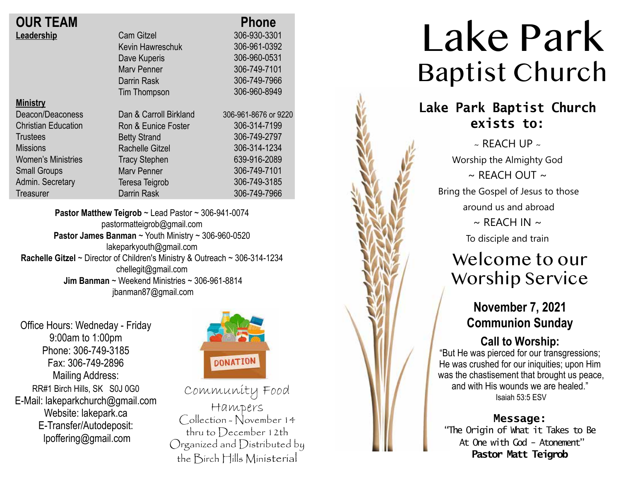| <b>OUR TEAM</b> |
|-----------------|
| Leadership      |

| <b>OUR TEAM</b>            |                        | <b>Phone</b>         |
|----------------------------|------------------------|----------------------|
| Leadership                 | <b>Cam Gitzel</b>      | 306-930-3301         |
|                            | Kevin Hawreschuk       | 306-961-0392         |
|                            | Dave Kuperis           | 306-960-0531         |
|                            | <b>Mary Penner</b>     | 306-749-7101         |
|                            | Darrin Rask            | 306-749-7966         |
|                            | Tim Thompson           | 306-960-8949         |
| <b>Ministry</b>            |                        |                      |
| Deacon/Deaconess           | Dan & Carroll Birkland | 306-961-8676 or 9220 |
| <b>Christian Education</b> | Ron & Eunice Foster    | 306-314-7199         |
| <b>Trustees</b>            | <b>Betty Strand</b>    | 306-749-2797         |
| <b>Missions</b>            | <b>Rachelle Gitzel</b> | 306-314-1234         |
| <b>Women's Ministries</b>  | <b>Tracy Stephen</b>   | 639-916-2089         |
| <b>Small Groups</b>        | <b>Mary Penner</b>     | 306-749-7101         |
| Admin. Secretary           | Teresa Teigrob         | 306-749-3185         |
| Treasurer                  | Darrin Rask            | 306-749-7966         |
|                            |                        |                      |

**Pastor Matthew Teigrob** ~ Lead Pastor ~ 306-941-0074 pastormatteigrob@gmail.com **Pastor James Banman** ~ Youth Ministry ~ 306-960-0520 lakeparkyouth@gmail.com **Rachelle Gitzel** ~ Director of Children's Ministry & Outreach ~ 306-314-1234 chellegit@gmail.com  **Jim Banman** ~ Weekend Ministries ~ 306-961-8814 jbanman87@gmail.com

Office Hours: Wedneday - Friday 9:00am to 1:00pm Phone: 306-749-3185 Fax: 306-749-2896 Mailing Address: RR#1 Birch Hills, SK S0J 0G0 E-Mail: lakeparkchurch@gmail.com Website: lakepark.ca E-Transfer/Autodeposit: lpoffering@gmail.com



Community Food Hampers Collection - November 14 thru to December 12th Organized and Distributed by the Birch Hills Ministerial